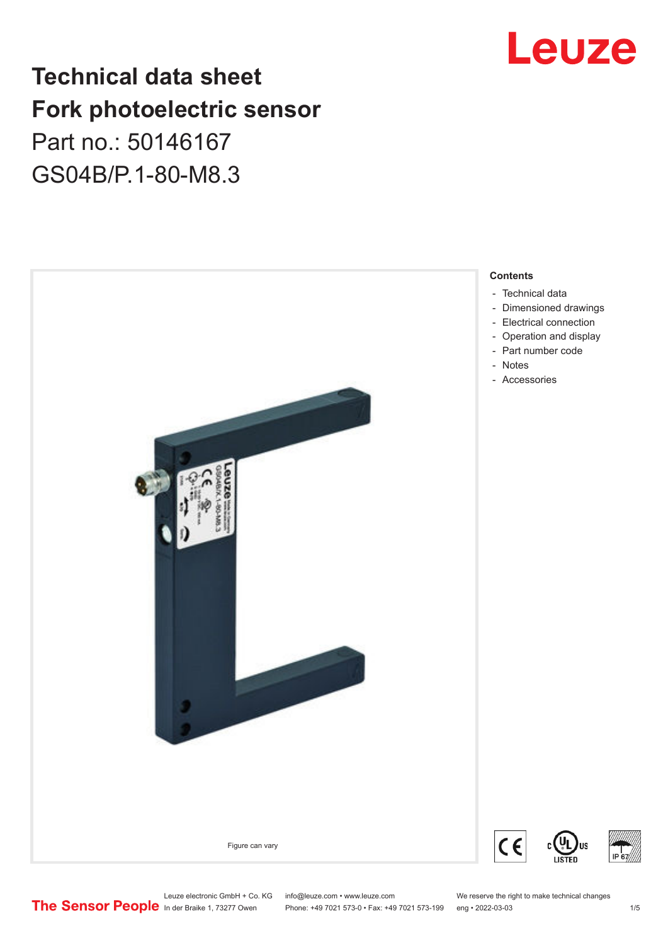# Leuze

# **Technical data sheet Fork photoelectric sensor** Part no.: 50146167 GS04B/P.1-80-M8.3



Leuze electronic GmbH + Co. KG info@leuze.com • www.leuze.com We reserve the right to make technical changes<br>
The Sensor People in der Braike 1, 73277 Owen Phone: +49 7021 573-0 • Fax: +49 7021 573-199 eng • 2022-03-03

Phone: +49 7021 573-0 • Fax: +49 7021 573-199 eng • 2022-03-03 1 75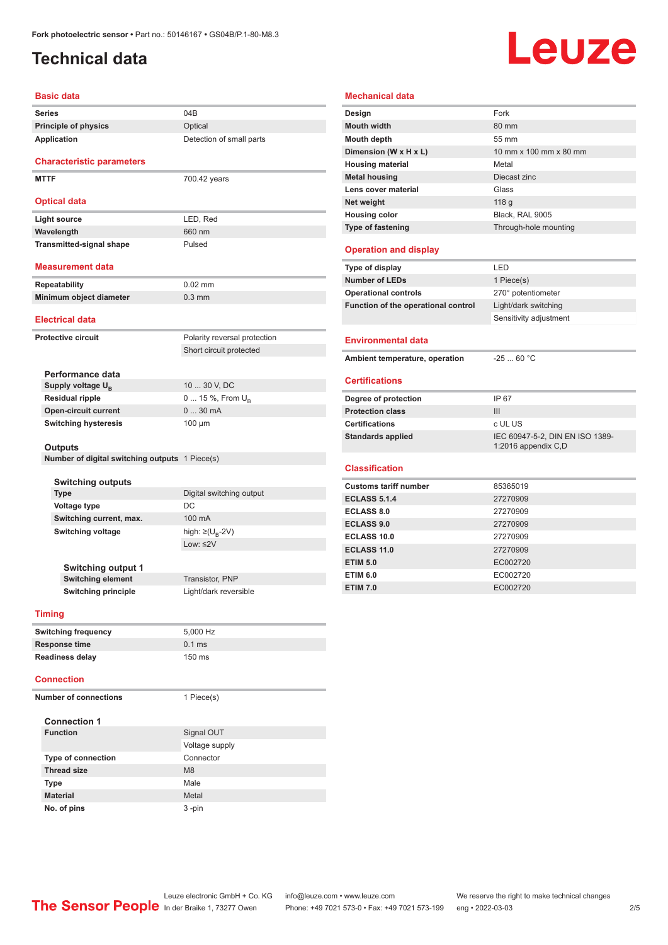## <span id="page-1-0"></span>**Technical data**

# Leuze

| <b>Basic data</b>                              |                                                         |
|------------------------------------------------|---------------------------------------------------------|
| <b>Series</b>                                  | 04B                                                     |
| <b>Principle of physics</b>                    | Optical                                                 |
| Application                                    | Detection of small parts                                |
|                                                |                                                         |
| <b>Characteristic parameters</b>               |                                                         |
| <b>MTTF</b>                                    | 700.42 years                                            |
|                                                |                                                         |
| <b>Optical data</b>                            |                                                         |
| Light source                                   | LED, Red                                                |
| Wavelength                                     | 660 nm                                                  |
| <b>Transmitted-signal shape</b>                | Pulsed                                                  |
|                                                |                                                         |
| <b>Measurement data</b>                        |                                                         |
| <b>Repeatability</b>                           | $0.02$ mm                                               |
| Minimum object diameter                        | $0.3$ mm                                                |
| <b>Electrical data</b>                         |                                                         |
| <b>Protective circuit</b>                      |                                                         |
|                                                | Polarity reversal protection<br>Short circuit protected |
|                                                |                                                         |
| Performance data                               |                                                         |
| Supply voltage U <sub>R</sub>                  | 10  30 V, DC                                            |
| <b>Residual ripple</b>                         | 0  15 %, From $U_B$                                     |
| <b>Open-circuit current</b>                    | 030mA                                                   |
| <b>Switching hysteresis</b>                    | 100 µm                                                  |
|                                                |                                                         |
| <b>Outputs</b>                                 |                                                         |
| Number of digital switching outputs 1 Piece(s) |                                                         |
| <b>Switching outputs</b>                       |                                                         |
| <b>Type</b>                                    | Digital switching output                                |
| <b>Voltage type</b>                            | DC                                                      |
| Switching current, max.                        | 100 mA                                                  |
| Switching voltage                              | high: $\geq$ (U <sub>B</sub> -2V)                       |
|                                                | Low: $\leq$ 2V                                          |
|                                                |                                                         |
| <b>Switching output 1</b>                      |                                                         |

| Mouth depth                                                                                                                                                                 | 55 mm                                                  |  |
|-----------------------------------------------------------------------------------------------------------------------------------------------------------------------------|--------------------------------------------------------|--|
| Dimension (W x H x L)                                                                                                                                                       | 10 mm x 100 mm x 80 mm                                 |  |
| <b>Housing material</b>                                                                                                                                                     | Metal                                                  |  |
| <b>Metal housing</b>                                                                                                                                                        | Diecast zinc                                           |  |
| Lens cover material                                                                                                                                                         | Glass                                                  |  |
| Net weight                                                                                                                                                                  | 118 g                                                  |  |
| <b>Housing color</b>                                                                                                                                                        | Black. RAL 9005                                        |  |
| <b>Type of fastening</b>                                                                                                                                                    | Through-hole mounting                                  |  |
| <b>Operation and display</b>                                                                                                                                                |                                                        |  |
| Type of display                                                                                                                                                             | LED                                                    |  |
| <b>Number of LEDs</b>                                                                                                                                                       | 1 Piece(s)                                             |  |
| <b>Operational controls</b>                                                                                                                                                 | 270° potentiometer                                     |  |
| Function of the operational control                                                                                                                                         | Light/dark switching                                   |  |
|                                                                                                                                                                             | Sensitivity adjustment                                 |  |
| <b>Environmental data</b>                                                                                                                                                   |                                                        |  |
| Ambient temperature, operation                                                                                                                                              | $-2560 °C$                                             |  |
| <b>Certifications</b>                                                                                                                                                       |                                                        |  |
| Degree of protection                                                                                                                                                        |                                                        |  |
| <b>Protection class</b>                                                                                                                                                     | IP 67                                                  |  |
|                                                                                                                                                                             | III                                                    |  |
|                                                                                                                                                                             | c UL US                                                |  |
|                                                                                                                                                                             | IEC 60947-5-2, DIN EN ISO 1389-<br>1:2016 appendix C,D |  |
|                                                                                                                                                                             |                                                        |  |
|                                                                                                                                                                             | 85365019                                               |  |
|                                                                                                                                                                             | 27270909                                               |  |
|                                                                                                                                                                             | 27270909                                               |  |
| <b>Certifications</b><br><b>Standards applied</b><br><b>Classification</b><br><b>Customs tariff number</b><br><b>ECLASS 5.1.4</b><br><b>ECLASS 8.0</b><br><b>ECLASS 9.0</b> | 27270909                                               |  |

**ECLASS 11.0** 27270909 **ETIM 5.0** EC002720 **ETIM 6.0** EC002720 **ETIM 7.0** EC002720

| Switching output 1       |                       |
|--------------------------|-----------------------|
| <b>Switching element</b> | Transistor, PNP       |
| Switching principle      | Light/dark reversible |

#### **Timing**

| <b>Switching frequency</b> | 5.000 Hz |
|----------------------------|----------|
| Response time              | $0.1$ ms |
| <b>Readiness delay</b>     | $150$ ms |

#### **Connection**

| <b>Number of connections</b> | 1 Piece(s)     |
|------------------------------|----------------|
| <b>Connection 1</b>          |                |
| <b>Function</b>              | Signal OUT     |
|                              | Voltage supply |
| <b>Type of connection</b>    | Connector      |
| <b>Thread size</b>           | M8             |
| <b>Type</b>                  | Male           |
| <b>Material</b>              | Metal          |
| No. of pins                  | 3-pin          |

#### **Mechanical data**

**Design Fork Mouth width** 80 mm

|                                               | Leuze electronic GmbH + Co. KG info@leuze.com • www.leuze.com |                                                                | We reserve the right to make technical changes |
|-----------------------------------------------|---------------------------------------------------------------|----------------------------------------------------------------|------------------------------------------------|
| The Sensor People In der Braike 1, 73277 Owen |                                                               | Phone: +49 7021 573-0 • Fax: +49 7021 573-199 eng • 2022-03-03 |                                                |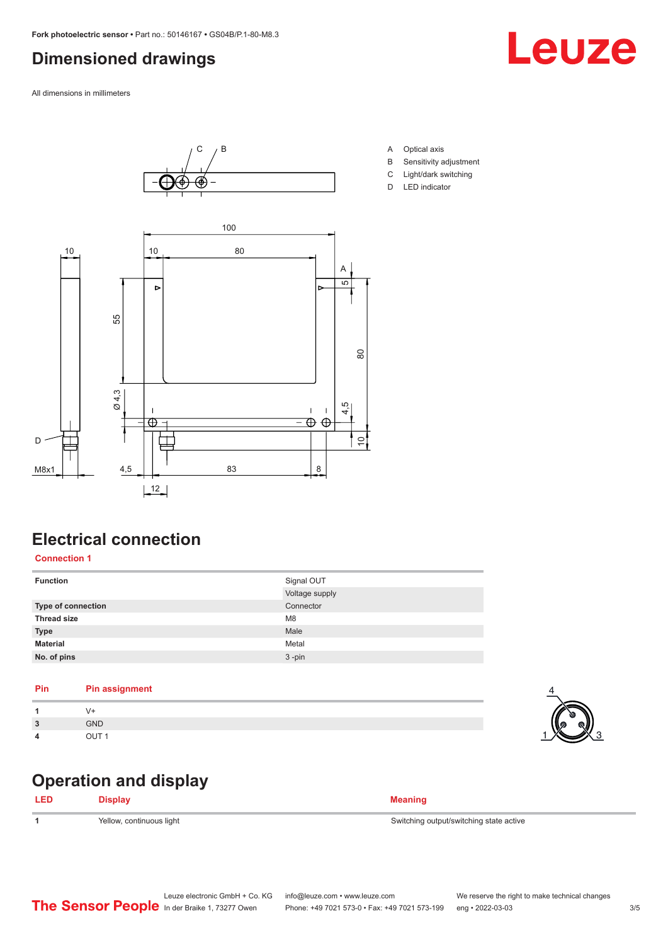## <span id="page-2-0"></span>**Dimensioned drawings**

All dimensions in millimeters





- A Optical axis
- B Sensitivity adjustment
- C Light/dark switching
- D LED indicator

# **Electrical connection**

#### **Connection 1**

| Signal OUT     |
|----------------|
| Voltage supply |
| Connector      |
| M <sub>8</sub> |
| Male           |
| Metal          |
| $3 - pin$      |
|                |

#### **Pin Pin assignment**

| $\overline{2}$ | <b>GND</b> |
|----------------|------------|
| 4              |            |

#### **Operation and display**

| <b>LED</b> | Display                  | <b>Meaning</b>                          |
|------------|--------------------------|-----------------------------------------|
|            | Yellow, continuous light | Switching output/switching state active |

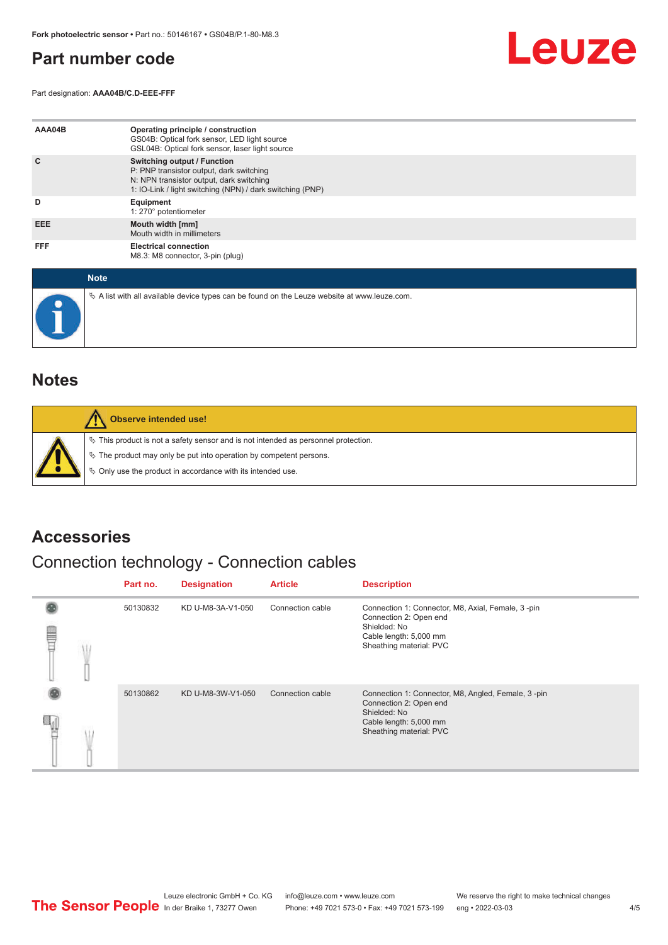#### <span id="page-3-0"></span>**Part number code**

Part designation: **AAA04B/C.D-EEE-FFF**



| AAA04B     | Operating principle / construction<br>GS04B: Optical fork sensor, LED light source<br>GSL04B: Optical fork sensor, laser light source                                                   |
|------------|-----------------------------------------------------------------------------------------------------------------------------------------------------------------------------------------|
| C          | <b>Switching output / Function</b><br>P: PNP transistor output, dark switching<br>N: NPN transistor output, dark switching<br>1: IO-Link / light switching (NPN) / dark switching (PNP) |
| D          | Equipment<br>1: 270° potentiometer                                                                                                                                                      |
| EEE.       | Mouth width [mm]<br>Mouth width in millimeters                                                                                                                                          |
| <b>FFF</b> | <b>Electrical connection</b><br>M8.3: M8 connector, 3-pin (plug)                                                                                                                        |

| <b>Note</b>                                                                                       |
|---------------------------------------------------------------------------------------------------|
| Vector A list with all available device types can be found on the Leuze website at www.leuze.com. |

#### **Notes**

| Observe intended use!                                                                                                                                                                                                      |
|----------------------------------------------------------------------------------------------------------------------------------------------------------------------------------------------------------------------------|
| $\%$ This product is not a safety sensor and is not intended as personnel protection.<br>₹ The product may only be put into operation by competent persons.<br>§ Only use the product in accordance with its intended use. |

#### **Accessories**

# Connection technology - Connection cables

|   |  | Part no. | <b>Designation</b> | <b>Article</b>   | <b>Description</b>                                                                                                                                |
|---|--|----------|--------------------|------------------|---------------------------------------------------------------------------------------------------------------------------------------------------|
| ▤ |  | 50130832 | KD U-M8-3A-V1-050  | Connection cable | Connection 1: Connector, M8, Axial, Female, 3-pin<br>Connection 2: Open end<br>Shielded: No<br>Cable length: 5,000 mm<br>Sheathing material: PVC  |
|   |  | 50130862 | KD U-M8-3W-V1-050  | Connection cable | Connection 1: Connector, M8, Angled, Female, 3-pin<br>Connection 2: Open end<br>Shielded: No<br>Cable length: 5,000 mm<br>Sheathing material: PVC |